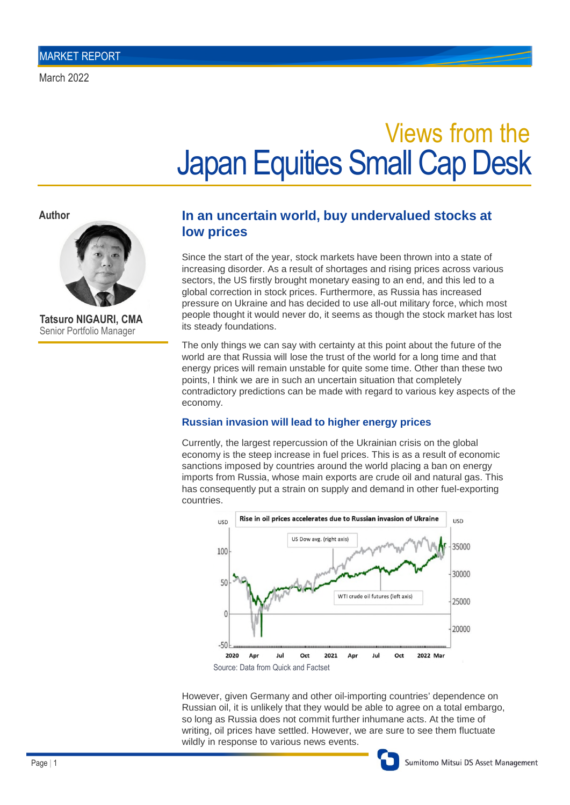# Japan Equities Small Cap Desk Views from the

**Author**



**Tatsuro NIGAURI, CMA** Senior Portfolio Manager

## **In an uncertain world, buy undervalued stocks at low prices**

Since the start of the year, stock markets have been thrown into a state of increasing disorder. As a result of shortages and rising prices across various sectors, the US firstly brought monetary easing to an end, and this led to a global correction in stock prices. Furthermore, as Russia has increased pressure on Ukraine and has decided to use all-out military force, which most people thought it would never do, it seems as though the stock market has lost its steady foundations.

The only things we can say with certainty at this point about the future of the world are that Russia will lose the trust of the world for a long time and that energy prices will remain unstable for quite some time. Other than these two points, I think we are in such an uncertain situation that completely contradictory predictions can be made with regard to various key aspects of the economy.

### **Russian invasion will lead to higher energy prices**

Currently, the largest repercussion of the Ukrainian crisis on the global economy is the steep increase in fuel prices. This is as a result of economic sanctions imposed by countries around the world placing a ban on energy imports from Russia, whose main exports are crude oil and natural gas. This has consequently put a strain on supply and demand in other fuel-exporting countries.



However, given Germany and other oil-importing countries' dependence on Russian oil, it is unlikely that they would be able to agree on a total embargo, so long as Russia does not commit further inhumane acts. At the time of writing, oil prices have settled. However, we are sure to see them fluctuate wildly in response to various news events.

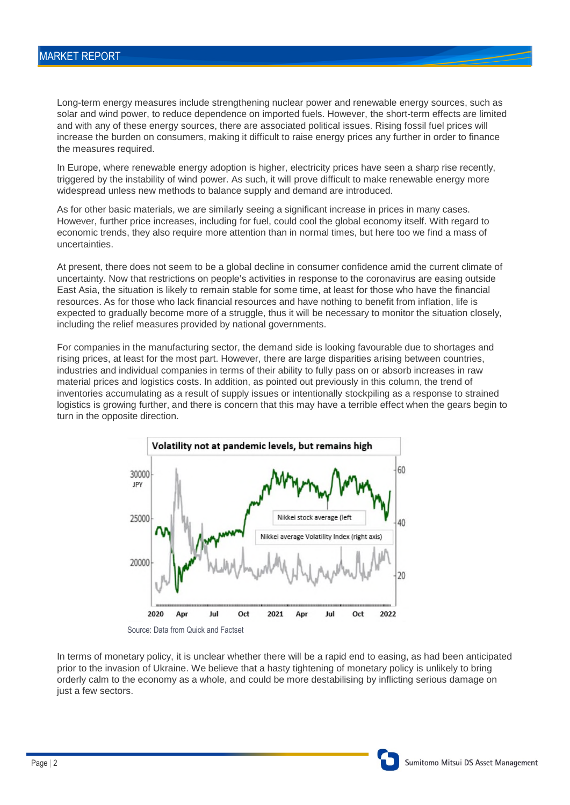Long-term energy measures include strengthening nuclear power and renewable energy sources, such as solar and wind power, to reduce dependence on imported fuels. However, the short-term effects are limited and with any of these energy sources, there are associated political issues. Rising fossil fuel prices will increase the burden on consumers, making it difficult to raise energy prices any further in order to finance the measures required.

In Europe, where renewable energy adoption is higher, electricity prices have seen a sharp rise recently, triggered by the instability of wind power. As such, it will prove difficult to make renewable energy more widespread unless new methods to balance supply and demand are introduced.

As for other basic materials, we are similarly seeing a significant increase in prices in many cases. However, further price increases, including for fuel, could cool the global economy itself. With regard to economic trends, they also require more attention than in normal times, but here too we find a mass of uncertainties.

At present, there does not seem to be a global decline in consumer confidence amid the current climate of uncertainty. Now that restrictions on people's activities in response to the coronavirus are easing outside East Asia, the situation is likely to remain stable for some time, at least for those who have the financial resources. As for those who lack financial resources and have nothing to benefit from inflation, life is expected to gradually become more of a struggle, thus it will be necessary to monitor the situation closely, including the relief measures provided by national governments.

For companies in the manufacturing sector, the demand side is looking favourable due to shortages and rising prices, at least for the most part. However, there are large disparities arising between countries, industries and individual companies in terms of their ability to fully pass on or absorb increases in raw material prices and logistics costs. In addition, as pointed out previously in this column, the trend of inventories accumulating as a result of supply issues or intentionally stockpiling as a response to strained logistics is growing further, and there is concern that this may have a terrible effect when the gears begin to turn in the opposite direction.



In terms of monetary policy, it is unclear whether there will be a rapid end to easing, as had been anticipated prior to the invasion of Ukraine. We believe that a hasty tightening of monetary policy is unlikely to bring orderly calm to the economy as a whole, and could be more destabilising by inflicting serious damage on just a few sectors.

Sumitomo Mitsui DS Asset Management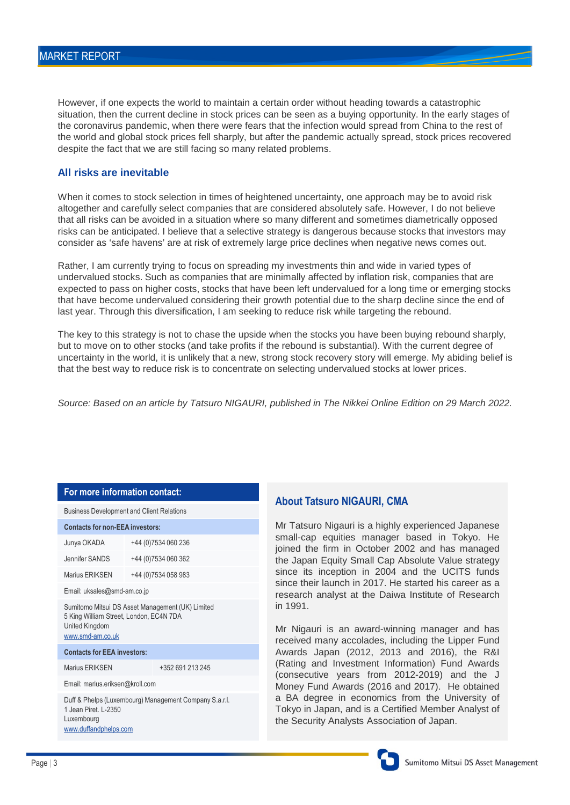However, if one expects the world to maintain a certain order without heading towards a catastrophic situation, then the current decline in stock prices can be seen as a buying opportunity. In the early stages of the coronavirus pandemic, when there were fears that the infection would spread from China to the rest of the world and global stock prices fell sharply, but after the pandemic actually spread, stock prices recovered despite the fact that we are still facing so many related problems.

#### **All risks are inevitable**

When it comes to stock selection in times of heightened uncertainty, one approach may be to avoid risk altogether and carefully select companies that are considered absolutely safe. However, I do not believe that all risks can be avoided in a situation where so many different and sometimes diametrically opposed risks can be anticipated. I believe that a selective strategy is dangerous because stocks that investors may consider as 'safe havens' are at risk of extremely large price declines when negative news comes out.

Rather, I am currently trying to focus on spreading my investments thin and wide in varied types of undervalued stocks. Such as companies that are minimally affected by inflation risk, companies that are expected to pass on higher costs, stocks that have been left undervalued for a long time or emerging stocks that have become undervalued considering their growth potential due to the sharp decline since the end of last year. Through this diversification, I am seeking to reduce risk while targeting the rebound.

The key to this strategy is not to chase the upside when the stocks you have been buying rebound sharply, but to move on to other stocks (and take profits if the rebound is substantial). With the current degree of uncertainty in the world, it is unlikely that a new, strong stock recovery story will emerge. My abiding belief is that the best way to reduce risk is to concentrate on selecting undervalued stocks at lower prices.

*Source: Based on an article by Tatsuro NIGAURI, published in The Nikkei Online Edition on 29 March 2022.*

#### **For more information contact:**

| <b>Business Development and Client Relations</b> |  |
|--------------------------------------------------|--|
|                                                  |  |

**Contacts for non-EEA investors:**

| Contacts for non-EEA investors:                                                                                                   |                      |                  |
|-----------------------------------------------------------------------------------------------------------------------------------|----------------------|------------------|
| Junya OKADA                                                                                                                       | +44 (0) 7534 060 236 |                  |
| Jennifer SANDS                                                                                                                    | +44 (0) 7534 060 362 |                  |
| Marius ERIKSEN                                                                                                                    | +44 (0) 7534 058 983 |                  |
| Email: uksales@smd-am.co.jp                                                                                                       |                      |                  |
| Sumitomo Mitsui DS Asset Management (UK) Limited<br>5 King William Street, London, EC4N 7DA<br>United Kingdom<br>www.smd-am.co.uk |                      |                  |
| <b>Contacts for EEA investors:</b>                                                                                                |                      |                  |
| Marius ERIKSEN                                                                                                                    |                      | +352 691 213 245 |
| Email: marius.eriksen@kroll.com                                                                                                   |                      |                  |
| Duff & Phelps (Luxembourg) Management Company S.a.r.l.<br>1 Jean Piret, L-2350<br>Luxembourg<br>www.duffandphelps.com             |                      |                  |

#### **About Tatsuro NIGAURI, CMA**

Mr Tatsuro Nigauri is a highly experienced Japanese small-cap equities manager based in Tokyo. He joined the firm in October 2002 and has managed the Japan Equity Small Cap Absolute Value strategy since its inception in 2004 and the UCITS funds since their launch in 2017. He started his career as a research analyst at the Daiwa Institute of Research in 1991.

Mr Nigauri is an award-winning manager and has received many accolades, including the Lipper Fund Awards Japan (2012, 2013 and 2016), the R&I (Rating and Investment Information) Fund Awards (consecutive years from 2012-2019) and the J Money Fund Awards (2016 and 2017). He obtained a BA degree in economics from the University of Tokyo in Japan, and is a Certified Member Analyst of the Security Analysts Association of Japan.